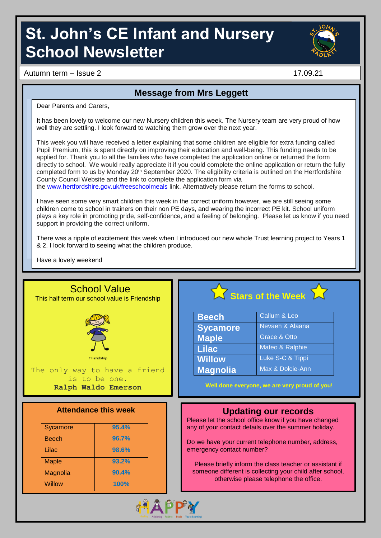# **St. John's CE Infant and Nursery School Newsletter**



Autumn term – Issue 2 17.09.21

### **Message from Mrs Leggett**

Dear Parents and Carers,

It has been lovely to welcome our new Nursery children this week. The Nursery team are very proud of how well they are settling. I look forward to watching them grow over the next year.

This week you will have received a letter explaining that some children are eligible for extra funding called Pupil Premium, this is spent directly on improving their education and well-being. This funding needs to be applied for. Thank you to all the families who have completed the application online or returned the form directly to school. We would really appreciate it if you could complete the online application or return the fully completed form to us by Monday 20<sup>th</sup> September 2020. The eligibility criteria is outlined on the Hertfordshire County Council Website and the link to complete the application form via the [www.hertfordshire.gov.uk/freeschoolmeals](http://www.hertfordshire.gov.uk/freeschoolmeals) link. Alternatively please return the forms to school.

I have seen some very smart children this week in the correct uniform however, we are still seeing some children come to school in trainers on their non PE days, and wearing the incorrect PE kit. School uniform plays a key role in promoting pride, self-confidence, and a feeling of belonging. Please let us know if you need support in providing the correct uniform.

There was a ripple of excitement this week when I introduced our new whole Trust learning project to Years 1 & 2. I look forward to seeing what the children produce.

Have a lovely weekend

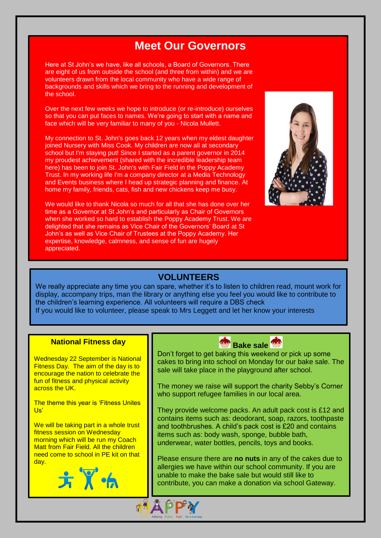## **Meet Our Governors**

Here at St John's we have, like all schools, a Board of Governors. There are eight of us from outside the school (and three from within) and we are volunteers drawn from the local community who have a wide range of backgrounds and skills which we bring to the running and development of the school.

Over the next few weeks we hope to introduce (or re-introduce) ourselves so that you can put faces to names. We're going to start with a name and face which will be very familiar to many of you - Nicola Mullett.

My connection to St. John's goes back 12 years when my eldest daughter joined Nursery with Miss Cook. My children are now all at secondary school but I'm staying put! Since I started as a parent governor in 2014 my proudest achievement (shared with the incredible leadership team here) has been to join St. John's with Fair Field in the Poppy Academy Trust. In my working life I'm a company director at a Media Technology and Events business where I head up strategic planning and finance. At home my family, friends, cats, fish and new chickens keep me busy.

We would like to thank Nicola so much for all that she has done over her time as a Governor at St John's and particularly as Chair of Governors when she worked so hard to establish the Poppy Academy Trust. We are delighted that she remains as Vice Chair of the Governors' Board at St John's as well as Vice Chair of Trustees at the Poppy Academy. Her expertise, knowledge, calmness, and sense of fun are hugely appreciated.



## **VOLUNTEERS**

We really appreciate any time you can spare, whether it's to listen to children read, mount work for display, accompany trips, man the library or anything else you feel you would like to contribute to the children's learning experience. All volunteers will require a DBS check If you would like to volunteer, please speak to Mrs Leggett and let her know your interests

#### **National Fitness day**

Wednesday 22 September is National Fitness Day. The aim of the day is to encourage the nation to celebrate the fun of fitness and physical activity across the UK.

The theme this year is 'Fitness Unites' Us'

We will be taking part in a whole trust fitness session on Wednesday morning which will be run my Coach Matt from Fair Field. All the children need come to school in PE kit on that day.





Don't forget to get baking this weekend or pick up some cakes to bring into school on Monday for our bake sale. The sale will take place in the playground after school.

The money we raise will support the charity Sebby's Corner who support refugee families in our local area.

They provide welcome packs. An adult pack cost is £12 and contains items such as: deodorant, soap, razors, toothpaste and toothbrushes. A child's pack cost is £20 and contains items such as: body wash, sponge, bubble bath, underwear, water bottles, pencils, toys and books.

Please ensure there are **no nuts** in any of the cakes due to allergies we have within our school community. If you are unable to make the bake sale but would still like to contribute, you can make a donation via school Gateway.

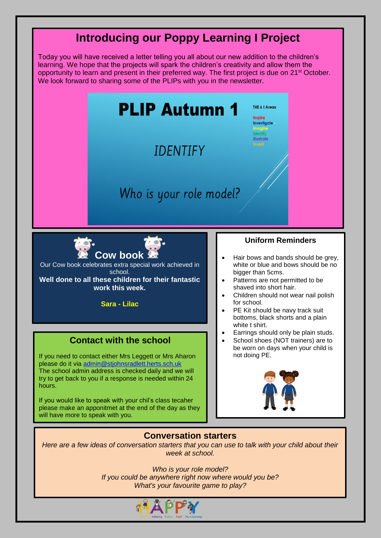## **Introducing our Poppy Learning I Project**

Today you will have received a letter telling you all about our new addition to the children's learning. We hope that the projects will spark the children's creativity and allow them the opportunity to learn and present in their preferred way. The first project is due on 21<sup>st</sup> October. We look forward to sharing some of the PLIPs with you in the newsletter.



If you would like to speak with your chil's class tecaher please make an apponitmet at the end of the day as they will have more to speak with you.



#### **Conversation starters**

*Here are a few ideas of conversation starters that you can use to talk with your child about their week at school.*

> *Who is your role model? If you could be anywhere right now where would you be? What's your favourite game to play?*